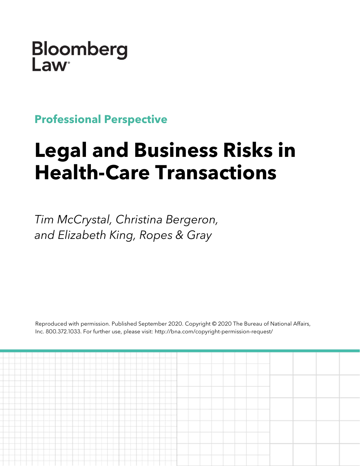Bloomberg Law

**Professional Perspective**

# **Legal and Business Risks in Health-Care Transactions**

*Tim McCrystal, Christina Bergeron, and Elizabeth King, Ropes & Gray*

Reproduced with permission. Published September 2020. Copyright © 2020 The Bureau of National Affairs, Inc. 800.372.1033. For further use, please visit: http://bna.com/copyright-permission-request/

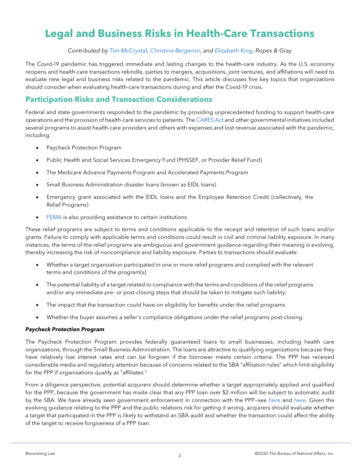# **Legal and Business Risks in Health-Care Transactions**

#### *Contributed by [Tim McCrystal,](https://www.ropesgray.com/en/biographies/m/timothy-m-mccrystal) [Christina Bergeron,](https://www.ropesgray.com/en/biographies/b/christina-bergeron?AK=berge) and [Elizabeth King,](https://www.ropesgray.com/en/biographies/k/elizabeth-king?AK=king,%20e) Ropes & Gray*

The Covid-19 pandemic has triggered immediate and lasting changes to the health-care industry. As the U.S. economy reopens and health-care transactions rekindle, parties to mergers, acquisitions, joint ventures, and affiliations will need to evaluate new legal and business risks related to the pandemic. This article discusses five key topics that organizations should consider when evaluating health-care transactions during and after the Covid-19 crisis.

### **Participation Risks and Transaction Considerations**

Federal and state governments responded to the pandemic by providing unprecedented funding to support health-care operations and the provision of health-care services to patients. The [CARES Act](https://www.congress.gov/bill/116th-congress/house-bill/748/text?overview=closed) and other governmental initiatives included several programs to assist health-care providers and others with expenses and lost revenue associated with the pandemic, including:

- Paycheck Protection Program
- Public Health and Social Services Emergency Fund (PHSSEF, or Provider Relief Fund)
- The Medicare Advance Payments Program and Accelerated Payments Program
- Small Business Administration disaster loans (known as EIDL loans)
- Emergency grant associated with the EIDL loans and the Employee Retention Credit (collectively, the Relief Programs)
- [FEMA](https://www.fema.gov/disasters/coronavirus/economic) is also providing assistance to certain institutions

These relief programs are subject to terms and conditions applicable to the receipt and retention of such loans and/or grants. Failure to comply with applicable terms and conditions could result in civil and criminal liability exposure. In many instances, the terms of the relief programs are ambiguous and government guidance regarding their meaning is evolving, thereby increasing the risk of noncompliance and liability exposure. Parties to transactions should evaluate:

- Whether a target organization participated in one or more relief programs and complied with the relevant terms and conditions of the program(s)
- The potential liability of a target related to compliance with the terms and conditions of the relief programs and/or any immediate pre- or post-closing steps that should be taken to mitigate such liability;
- The impact that the transaction could have on eligibility for benefits under the relief programs
- Whether the buyer assumes a seller's compliance obligations under the relief programs post-closing.

#### *Paycheck Protection Program*

The Paycheck Protection Program provides federally guaranteed loans to small businesses, including health care organizations, through the Small Business Administration. The loans are attractive to qualifying organizations because they have relatively low interest rates and can be forgiven if the borrower meets certain criteria. The PPP has received considerable media and regulatory attention because of concerns related to the SBA "affiliation rules" which limit eligibility for the PPP if organizations qualify as "affiliates."

From a diligence perspective, potential acquirers should determine whether a target appropriately applied and qualified for the PPP, because the government has made clear that any PPP loan over \$2 million will be subject to automatic audit by the SBA. We have already seen government enforcement in connection with the PPP—see [here](https://www.justice.gov/opa/pr/two-charged-rhode-island-stimulus-fraud) and [here.](https://www.justice.gov/opa/pr/engineer-charged-texas-covid-relief-fraud) Given the evolving guidance relating to the PPP and the public relations risk for getting it wrong, acquirers should evaluate whether a target that participated in the PPP is likely to withstand an SBA audit and whether the transaction could affect the ability of the target to receive forgiveness of a PPP loan.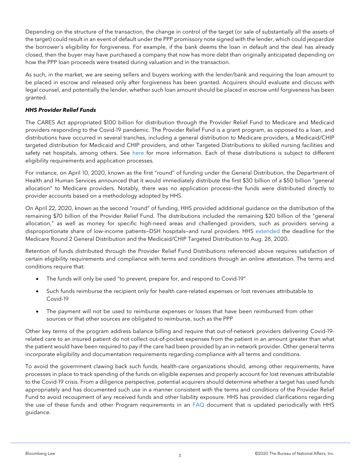Depending on the structure of the transaction, the change in control of the target (or sale of substantially all the assets of the target) could result in an event of default under the PPP promissory note signed with the lender, which could jeopardize the borrower's eligibility for forgiveness. For example, if the bank deems the loan in default and the deal has already closed, then the buyer may have purchased a company that now has more debt than originally anticipated depending on how the PPP loan proceeds were treated during valuation and in the transaction.

As such, in the market, we are seeing sellers and buyers working with the lender/bank and requiring the loan amount to be placed in escrow and released only after forgiveness has been granted. Acquirers should evaluate and discuss with legal counsel, and potentially the lender, whether such loan amount should be placed in escrow until forgiveness has been granted.

#### *HHS Provider Relief Funds*

The CARES Act appropriated \$100 billion for distribution through the Provider Relief Fund to Medicare and Medicaid providers responding to the Covid-19 pandemic. The Provider Relief Fund is a grant program, as opposed to a loan, and distributions have occurred in several tranches, including a general distribution to Medicare providers, a Medicaid/CHIP targeted distribution for Medicaid and CHIP providers, and other Targeted Distributions to skilled nursing facilities and safety net hospitals, among others. See [here](https://www.hhs.gov/coronavirus/cares-act-provider-relief-fund/index.html) for more information. Each of these distributions is subject to different eligibility requirements and application processes.

For instance, on April 10, 2020, known as the first "round" of funding under the General Distribution, the Department of Health and Human Services announced that it would immediately distribute the first \$30 billion of a \$50 billion "general allocation" to Medicare providers. Notably, there was no application process—the funds were distributed directly to provider accounts based on a methodology adopted by HHS.

On April 22, 2020, known as the second "round" of funding, HHS provided additional guidance on the distribution of the remaining \$70 billion of the Provider Relief Fund. The distributions included the remaining \$20 billion of the "general allocation," as well as money for specific high-need areas and challenged providers, such as providers serving a disproportionate share of low-income patients—DSH hospitals—and rural providers. HHS [extended](https://www.hhs.gov/about/news/2020/07/31/hhs-extends-application-deadline-for-medicaid-providers-and-plans-to-reopen-portal-to-certain-medicare-providers.html) the deadline for the Medicare Round 2 General Distribution and the Medicaid/CHIP Targeted Distribution to Aug. 28, 2020.

Retention of funds distributed through the Provider Relief Fund Distributions referenced above requires satisfaction of certain eligibility requirements and compliance with terms and conditions through an online attestation. The terms and conditions require that:

- The funds will only be used "to prevent, prepare for, and respond to Covid-19"
- Such funds reimburse the recipient only for health care-related expenses or lost revenues attributable to Covid-19
- The payment will not be used to reimburse expenses or losses that have been reimbursed from other sources or that other sources are obligated to reimburse, such as the PPP

Other key terms of the program address balance billing and require that out-of-network providers delivering Covid-19 related care to an insured patient do not collect out-of-pocket expenses from the patient in an amount greater than what the patient would have been required to pay if the care had been provided by an in-network provider. Other general terms incorporate eligibility and documentation requirements regarding compliance with all terms and conditions.

To avoid the government clawing back such funds, health-care organizations should, among other requirements, have processes in place to track spending of the funds on eligible expenses and properly account for lost revenues attributable to the Covid-19 crisis. From a diligence perspective, potential acquirers should determine whether a target has used funds appropriately and has documented such use in a manner consistent with the terms and conditions of the Provider Relief Fund to avoid recoupment of any received funds and other liability exposure. HHS has provided clarifications regarding the use of these funds and other Program requirements in an [FAQ](https://www.hhs.gov/sites/default/files/provider-relief-fund-general-distribution-faqs.pdf) document that is updated periodically with HHS guidance.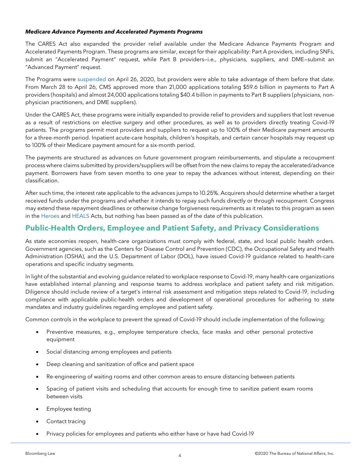#### *Medicare Advance Payments and Accelerated Payments Programs*

The CARES Act also expanded the provider relief available under the Medicare Advance Payments Program and Accelerated Payments Program. These programs are similar, except for their applicability: Part A providers, including SNFs, submit an "Accelerated Payment" request, while Part B providers—i.e., physicians, suppliers, and DME—submit an "Advanced Payment" request.

The Programs were [suspended](https://www.cms.gov/files/document/accelerated-and-advanced-payments-fact-sheet.pdf) on April 26, 2020, but providers were able to take advantage of them before that date. From March 28 to April 26, CMS approved more than 21,000 applications totaling \$59.6 billion in payments to Part A providers (hospitals) and almost 24,000 applications totaling \$40.4 billion in payments to Part B suppliers (physicians, nonphysician practitioners, and DME suppliers).

Under the CARES Act, these programs were initially expanded to provide relief to providers and suppliers that lost revenue as a result of restrictions on elective surgery and other procedures, as well as to providers directly treating Covid-19 patients. The programs permit most providers and suppliers to request up to 100% of their Medicare payment amounts for a three-month period. Inpatient acute-care hospitals, children's hospitals, and certain cancer hospitals may request up to 100% of their Medicare payment amount for a six-month period.

The payments are structured as advances on future government program reimbursements, and stipulate a recoupment process where claims submitted by providers/suppliers will be offset from the new claims to repay the accelerated/advance payment. Borrowers have from seven months to one year to repay the advances without interest, depending on their classification.

After such time, the interest rate applicable to the advances jumps to 10.25%. Acquirers should determine whether a target received funds under the programs and whether it intends to repay such funds directly or through recoupment. Congress may extend these repayment deadlines or otherwise change forgiveness requirements as it relates to this program as seen in the [Heroes](https://www.congress.gov/bill/116th-congress/house-bill/6800/text) and [HEALS](https://www.congress.gov/bill/116th-congress/senate-bill/1624/text) Acts, but nothing has been passed as of the date of this publication.

## **Public-Health Orders, Employee and Patient Safety, and Privacy Considerations**

As state economies reopen, health-care organizations must comply with federal, state, and local public health orders. Government agencies, such as the Centers for Disease Control and Prevention (CDC), the Occupational Safety and Health Administration (OSHA), and the U.S. Department of Labor (DOL), have issued Covid-19 guidance related to health-care operations and specific industry segments.

In light of the substantial and evolving guidance related to workplace response to Covid-19, many health-care organizations have established internal planning and response teams to address workplace and patient safety and risk mitigation. Diligence should include review of a target's internal risk assessment and mitigation steps related to Covid-19, including compliance with applicable public-health orders and development of operational procedures for adhering to state mandates and industry guidelines regarding employee and patient safety.

Common controls in the workplace to prevent the spread of Covid-19 should include implementation of the following:

- Preventive measures, e.g., employee temperature checks, face masks and other personal protective equipment
- Social distancing among employees and patients
- Deep cleaning and sanitization of office and patient space
- Re-engineering of waiting rooms and other common areas to ensure distancing between patients
- Spacing of patient visits and scheduling that accounts for enough time to sanitize patient exam rooms between visits
- Employee testing
- Contact tracing
- Privacy policies for employees and patients who either have or have had Covid-19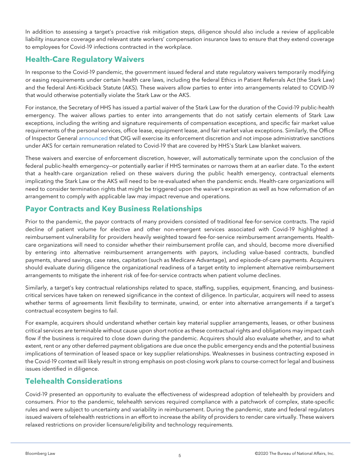In addition to assessing a target's proactive risk mitigation steps, diligence should also include a review of applicable liability insurance coverage and relevant state workers' compensation insurance laws to ensure that they extend coverage to employees for Covid-19 infections contracted in the workplace.

# **Health-Care Regulatory Waivers**

In response to the Covid-19 pandemic, the government issued federal and state regulatory waivers temporarily modifying or easing requirements under certain health care laws, including the federal Ethics in Patient Referrals Act (the Stark Law) and the federal Anti-Kickback Statute (AKS). These waivers allow parties to enter into arrangements related to COVID-19 that would otherwise potentially violate the Stark Law or the AKS.

For instance, the Secretary of HHS has issued a partial waiver of the Stark Law for the duration of the Covid-19 public-health emergency. The waiver allows parties to enter into arrangements that do not satisfy certain elements of Stark Law exceptions, including the writing and signature requirements of compensation exceptions, and specific fair market value requirements of the personal services, office lease, equipment lease, and fair market value exceptions. Similarly, the Office of Inspector General [announced](https://oig.hhs.gov/coronavirus/OIG-Policy-Statement-4.3.20.pdf?_sm_au_=iVVWJjJW6Dn1Z5HMJ8MfKK7vWLCsW) that OIG will exercise its enforcement discretion and not impose administrative sanctions under AKS for certain remuneration related to Covid-19 that are covered by HHS's Stark Law blanket waivers.

These waivers and exercise of enforcement discretion, however, will automatically terminate upon the conclusion of the federal public-health emergency—or potentially earlier if HHS terminates or narrows them at an earlier date. To the extent that a health-care organization relied on these waivers during the public health emergency, contractual elements implicating the Stark Law or the AKS will need to be re-evaluated when the pandemic ends. Health-care organizations will need to consider termination rights that might be triggered upon the waiver's expiration as well as how reformation of an arrangement to comply with applicable law may impact revenue and operations.

# **Payor Contracts and Key Business Relationships**

Prior to the pandemic, the payor contracts of many providers consisted of traditional fee-for-service contracts. The rapid decline of patient volume for elective and other non-emergent services associated with Covid-19 highlighted a reimbursement vulnerability for providers heavily weighted toward fee-for-service reimbursement arrangements. Healthcare organizations will need to consider whether their reimbursement profile can, and should, become more diversified by entering into alternative reimbursement arrangements with payors, including value-based contracts, bundled payments, shared savings, case rates, capitation (such as Medicare Advantage), and episode-of-care payments. Acquirers should evaluate during diligence the organizational readiness of a target entity to implement alternative reimbursement arrangements to mitigate the inherent risk of fee-for-service contracts when patient volume declines.

Similarly, a target's key contractual relationships related to space, staffing, supplies, equipment, financing, and businesscritical services have taken on renewed significance in the context of diligence. In particular, acquirers will need to assess whether terms of agreements limit flexibility to terminate, unwind, or enter into alternative arrangements if a target's contractual ecosystem begins to fail.

For example, acquirers should understand whether certain key material supplier arrangements, leases, or other business critical services are terminable without cause upon short notice as these contractual rights and obligations may impact cash flow if the business is required to close down during the pandemic. Acquirers should also evaluate whether, and to what extent, rent or any other deferred payment obligations are due once the public emergency ends and the potential business implications of termination of leased space or key supplier relationships. Weaknesses in business contracting exposed in the Covid-19 context will likely result in strong emphasis on post-closing work plans to course-correct for legal and business issues identified in diligence.

# **Telehealth Considerations**

Covid-19 presented an opportunity to evaluate the effectiveness of widespread adoption of telehealth by providers and consumers. Prior to the pandemic, telehealth services required compliance with a patchwork of complex, state-specific rules and were subject to uncertainty and variability in reimbursement. During the pandemic, state and federal regulators issued waivers of telehealth restrictions in an effort to increase the ability of providers to render care virtually. These waivers relaxed restrictions on provider licensure/eligibility and technology requirements.